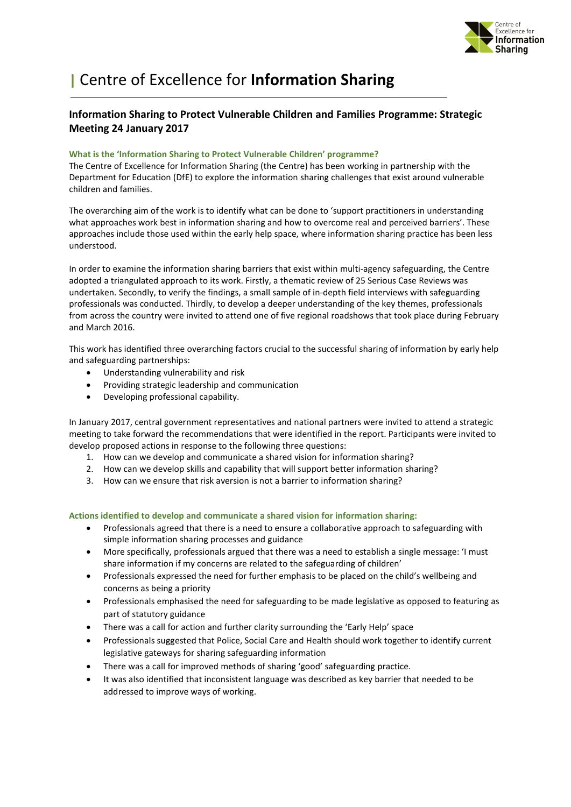

# | Centre of Excellence for Information Sharing

# Information Sharing to Protect Vulnerable Children and Families Programme: Strategic Meeting 24 January 2017

## What is the 'Information Sharing to Protect Vulnerable Children' programme?

The Centre of Excellence for Information Sharing (the Centre) has been working in partnership with the Department for Education (DfE) to explore the information sharing challenges that exist around vulnerable children and families.

The overarching aim of the work is to identify what can be done to 'support practitioners in understanding what approaches work best in information sharing and how to overcome real and perceived barriers'. These approaches include those used within the early help space, where information sharing practice has been less understood.

In order to examine the information sharing barriers that exist within multi-agency safeguarding, the Centre adopted a triangulated approach to its work. Firstly, a thematic review of 25 Serious Case Reviews was undertaken. Secondly, to verify the findings, a small sample of in-depth field interviews with safeguarding professionals was conducted. Thirdly, to develop a deeper understanding of the key themes, professionals from across the country were invited to attend one of five regional roadshows that took place during February and March 2016.

This work has identified three overarching factors crucial to the successful sharing of information by early help and safeguarding partnerships:

- Understanding vulnerability and risk
- Providing strategic leadership and communication
- Developing professional capability.

In January 2017, central government representatives and national partners were invited to attend a strategic meeting to take forward the recommendations that were identified in the report. Participants were invited to develop proposed actions in response to the following three questions:

- 1. How can we develop and communicate a shared vision for information sharing?
- 2. How can we develop skills and capability that will support better information sharing?
- 3. How can we ensure that risk aversion is not a barrier to information sharing?

### Actions identified to develop and communicate a shared vision for information sharing:

- Professionals agreed that there is a need to ensure a collaborative approach to safeguarding with simple information sharing processes and guidance
- More specifically, professionals argued that there was a need to establish a single message: 'I must share information if my concerns are related to the safeguarding of children'
- Professionals expressed the need for further emphasis to be placed on the child's wellbeing and concerns as being a priority
- Professionals emphasised the need for safeguarding to be made legislative as opposed to featuring as part of statutory guidance
- There was a call for action and further clarity surrounding the 'Early Help' space
- Professionals suggested that Police, Social Care and Health should work together to identify current legislative gateways for sharing safeguarding information
- There was a call for improved methods of sharing 'good' safeguarding practice.
- It was also identified that inconsistent language was described as key barrier that needed to be addressed to improve ways of working.